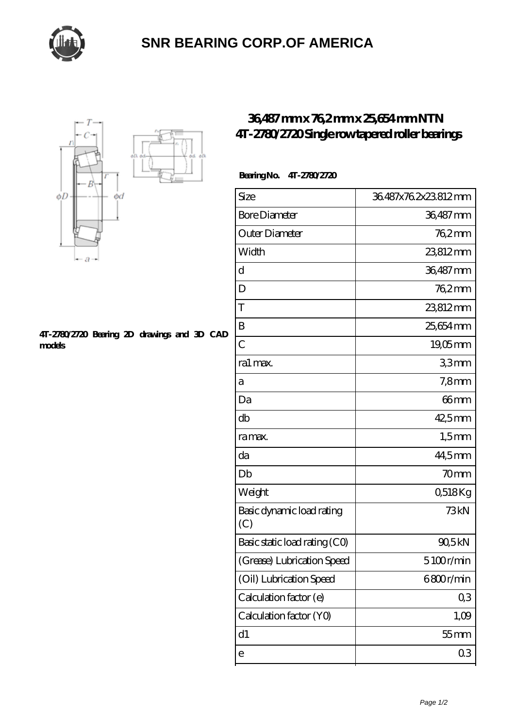

## **[SNR BEARING CORP.OF AMERICA](https://m.thebestofquebec.com)**



#### **[4T-2780/2720 Bearing 2D drawings and 3D CAD](https://m.thebestofquebec.com/pic-64979402.html) [models](https://m.thebestofquebec.com/pic-64979402.html)**

## **[36,487 mm x 76,2 mm x 25,654 mm NTN](https://m.thebestofquebec.com/bb-64979402-ntn-4t-2780-2720-single-row-tapered-roller-bearings.html) [4T-2780/2720 Single row tapered roller bearings](https://m.thebestofquebec.com/bb-64979402-ntn-4t-2780-2720-single-row-tapered-roller-bearings.html)**

### **Bearing No. 4T-2780/2720**

| Size                             | 36.487x76.2x23.812mm |
|----------------------------------|----------------------|
| <b>Bore Diameter</b>             | 36,487 mm            |
| Outer Diameter                   | $762$ mm             |
| Width                            | 23812mm              |
| d                                | 36,487 mm            |
| D                                | 762mm                |
| T                                | 23812mm              |
| B                                | 25,654 mm            |
| $\overline{C}$                   | $19,05$ mm           |
| ra1 max.                         | 33mm                 |
| а                                | $7,8$ mm             |
| Da                               | 66mm                 |
| db                               | $42,5$ mm            |
| ra max.                          | $1,5$ mm             |
| da                               | 44,5mm               |
| Db                               | 70 <sub>mm</sub>     |
| Weight                           | 0,518Kg              |
| Basic dynamic load rating<br>(C) | 73kN                 |
| Basic static load rating (CO)    | 90,5kN               |
| (Grease) Lubrication Speed       | 5100r/min            |
| (Oil) Lubrication Speed          | 6800r/min            |
| Calculation factor (e)           | Q3                   |
| Calculation factor (YO)          | 1,09                 |
| d1                               | $55$ mm              |
| е                                | 03                   |